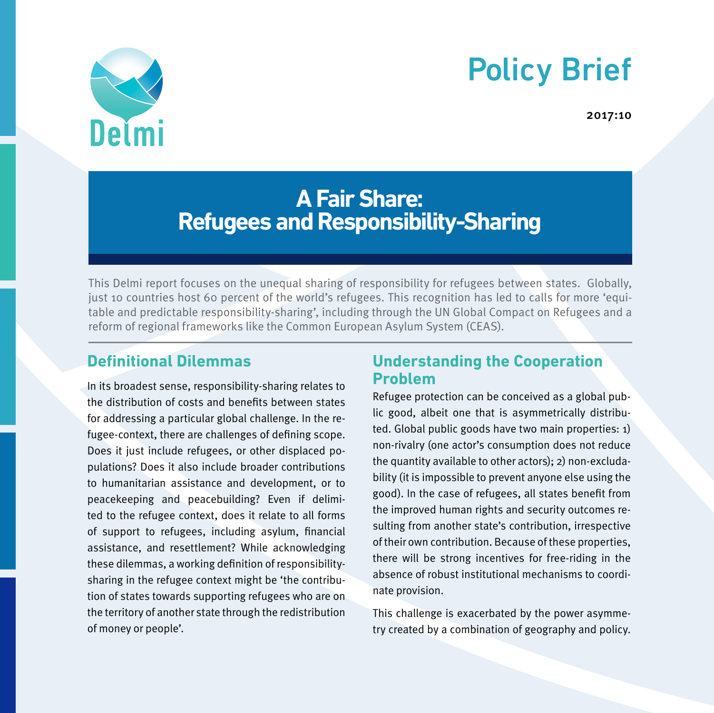# Policy Brief



2017:10

# **A Fair Share: Refugees and Responsibility-Sharing**

This Delmi report focuses on the unequal sharing of responsibility for refugees between states. Globally, just 10 countries host 60 percent of the world's refugees. This recognition has led to calls for more 'equitable and predictable responsibility-sharing', including through the UN Global Compact on Refugees and a reform of regional frameworks like the Common European Asylum System (CEAS).

# **Definitional Dilemmas**

In its broadest sense, responsibility-sharing relates to the distribution of costs and benefits between states for addressing a particular global challenge. In the refugee-context, there are challenges of defining scope. Does it just include refugees, or other displaced populations? Does it also include broader contributions to humanitarian assistance and development, or to peacekeeping and peacebuilding? Even if delimited to the refugee context, does it relate to all forms of support to refugees, including asylum, financial assistance, and resettlement? While acknowledging these dilemmas, a working definition of responsibilitysharing in the refugee context might be 'the contribution of states towards supporting refugees who are on the territory of another state through the redistribution of money or people'.

# **Understanding the Cooperation Problem**

Refugee protection can be conceived as a global public good, albeit one that is asymmetrically distributed. Global public goods have two main properties: 1) non-rivalry (one actor's consumption does not reduce the quantity available to other actors); 2) non-excludability (it is impossible to prevent anyone else using the good). In the case of refugees, all states benefit from the improved human rights and security outcomes resulting from another state's contribution, irrespective of their own contribution. Because of these properties, there will be strong incentives for free-riding in the absence of robust institutional mechanisms to coordinate provision.

This challenge is exacerbated by the power asymmetry created by a combination of geography and policy.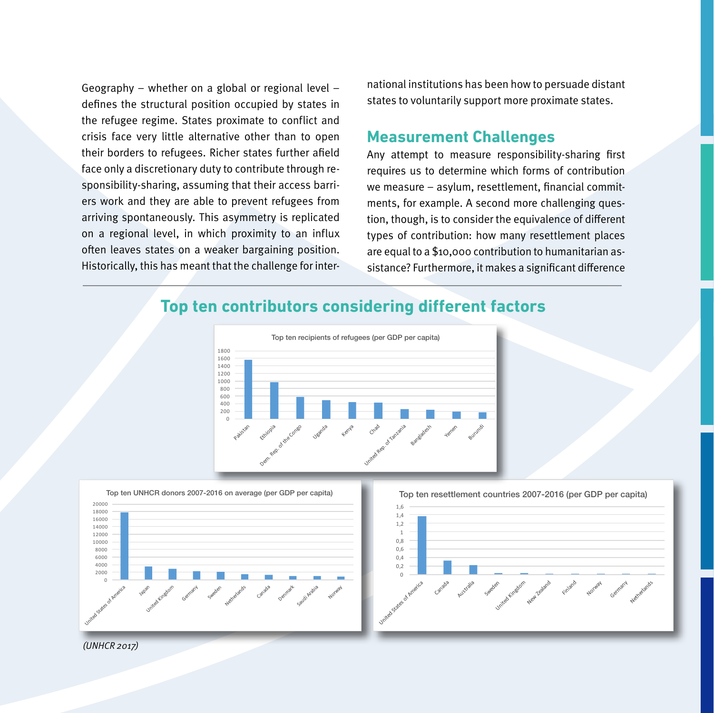Geography – whether on a global or regional level – defines the structural position occupied by states in the refugee regime. States proximate to conflict and crisis face very little alternative other than to open their borders to refugees. Richer states further afield face only a discretionary duty to contribute through responsibility-sharing, assuming that their access barriers work and they are able to prevent refugees from arriving spontaneously. This asymmetry is replicated on a regional level, in which proximity to an influx often leaves states on a weaker bargaining position. Historically, this has meant that the challenge for inter-

national institutions has been how to persuade distant states to voluntarily support more proximate states.

#### **Measurement Challenges**

Any attempt to measure responsibility-sharing first requires us to determine which forms of contribution we measure – asylum, resettlement, financial commitments, for example. A second more challenging question, though, is to consider the equivalence of different types of contribution: how many resettlement places are equal to a \$10,000 contribution to humanitarian assistance? Furthermore, it makes a significant difference

## **Top ten contributors considering different factors**





Top ten resettlement countries 2007-2016 (per GDP per capita)



(UNHCR 2017)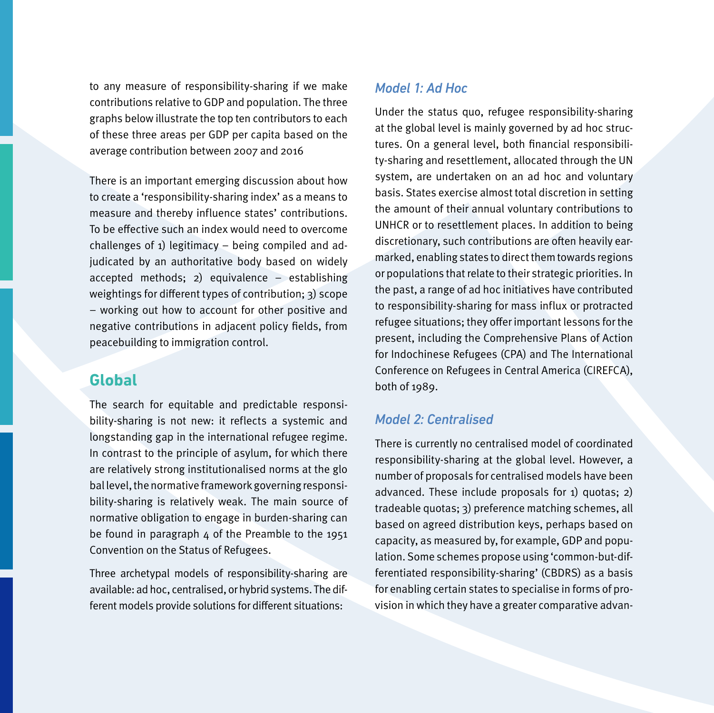to any measure of responsibility-sharing if we make contributions relative to GDP and population. The three graphs below illustrate the top ten contributors to each of these three areas per GDP per capita based on the average contribution between 2007 and 2016

There is an important emerging discussion about how to create a 'responsibility-sharing index' as a means to measure and thereby influence states' contributions. To be effective such an index would need to overcome challenges of 1) legitimacy – being compiled and adjudicated by an authoritative body based on widely accepted methods; 2) equivalence – establishing weightings for different types of contribution; 3) scope – working out how to account for other positive and negative contributions in adjacent policy fields, from peacebuilding to immigration control.

### **Global**

The search for equitable and predictable responsibility-sharing is not new: it reflects a systemic and longstanding gap in the international refugee regime. In contrast to the principle of asylum, for which there are relatively strong institutionalised norms at the glo bal level, the normative framework governing responsibility-sharing is relatively weak. The main source of normative obligation to engage in burden-sharing can be found in paragraph  $4$  of the Preamble to the 1951 Convention on the Status of Refugees.

Three archetypal models of responsibility-sharing are available: ad hoc, centralised, or hybrid systems. The different models provide solutions for different situations:

#### *Model 1: Ad Hoc*

Under the status quo, refugee responsibility-sharing at the global level is mainly governed by ad hoc structures. On a general level, both financial responsibility-sharing and resettlement, allocated through the UN system, are undertaken on an ad hoc and voluntary basis. States exercise almost total discretion in setting the amount of their annual voluntary contributions to UNHCR or to resettlement places. In addition to being discretionary, such contributions are often heavily earmarked, enabling states to direct them towards regions or populations that relate to their strategic priorities. In the past, a range of ad hoc initiatives have contributed to responsibility-sharing for mass influx or protracted refugee situations; they offer important lessons for the present, including the Comprehensive Plans of Action for Indochinese Refugees (CPA) and The International Conference on Refugees in Central America (CIREFCA), both of 1989.

#### *Model 2: Centralised*

There is currently no centralised model of coordinated responsibility-sharing at the global level. However, a number of proposals for centralised models have been advanced. These include proposals for 1) quotas; 2) tradeable quotas; 3) preference matching schemes, all based on agreed distribution keys, perhaps based on capacity, as measured by, for example, GDP and population. Some schemes propose using 'common-but-differentiated responsibility-sharing' (CBDRS) as a basis for enabling certain states to specialise in forms of provision in which they have a greater comparative advan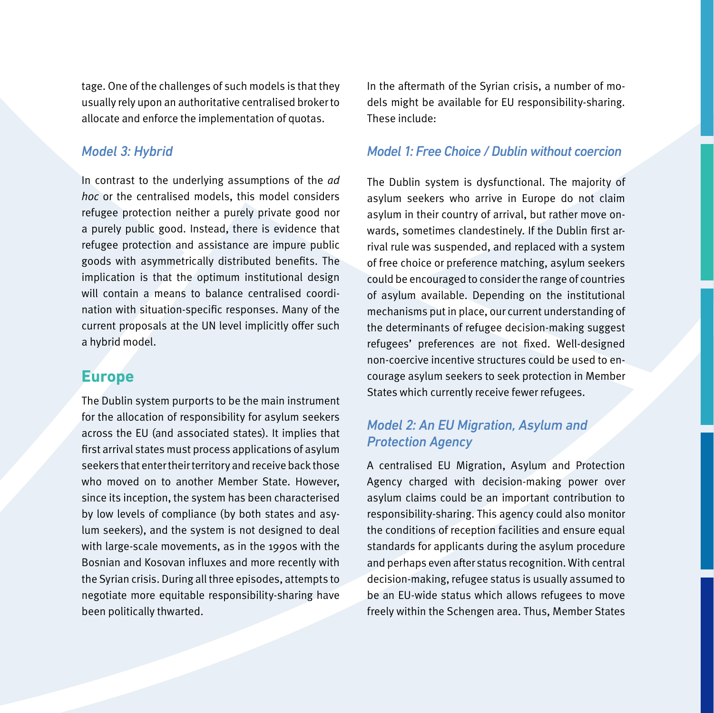tage. One of the challenges of such models is that they usually rely upon an authoritative centralised broker to allocate and enforce the implementation of quotas.

#### *Model 3: Hybrid*

In contrast to the underlying assumptions of the ad hoc or the centralised models, this model considers refugee protection neither a purely private good nor a purely public good. Instead, there is evidence that refugee protection and assistance are impure public goods with asymmetrically distributed benefits. The implication is that the optimum institutional design will contain a means to balance centralised coordination with situation-specific responses. Many of the current proposals at the UN level implicitly offer such a hybrid model.

#### **Europe**

The Dublin system purports to be the main instrument for the allocation of responsibility for asylum seekers across the EU (and associated states). It implies that first arrival states must process applications of asylum seekers that enter their territory and receive back those who moved on to another Member State. However, since its inception, the system has been characterised by low levels of compliance (by both states and asylum seekers), and the system is not designed to deal with large-scale movements, as in the 1990s with the Bosnian and Kosovan influxes and more recently with the Syrian crisis. During all three episodes, attempts to negotiate more equitable responsibility-sharing have been politically thwarted.

In the aftermath of the Syrian crisis, a number of models might be available for EU responsibility-sharing. These include:

#### *Model 1: Free Choice / Dublin without coercion*

The Dublin system is dysfunctional. The majority of asylum seekers who arrive in Europe do not claim asylum in their country of arrival, but rather move onwards, sometimes clandestinely. If the Dublin first arrival rule was suspended, and replaced with a system of free choice or preference matching, asylum seekers could be encouraged to consider the range of countries of asylum available. Depending on the institutional mechanisms put in place, our current understanding of the determinants of refugee decision-making suggest refugees' preferences are not fixed. Well-designed non-coercive incentive structures could be used to encourage asylum seekers to seek protection in Member States which currently receive fewer refugees.

#### *Model 2: An EU Migration, Asylum and Protection Agency*

A centralised EU Migration, Asylum and Protection Agency charged with decision-making power over asylum claims could be an important contribution to responsibility-sharing. This agency could also monitor the conditions of reception facilities and ensure equal standards for applicants during the asylum procedure and perhaps even after status recognition. With central decision-making, refugee status is usually assumed to be an EU-wide status which allows refugees to move freely within the Schengen area. Thus, Member States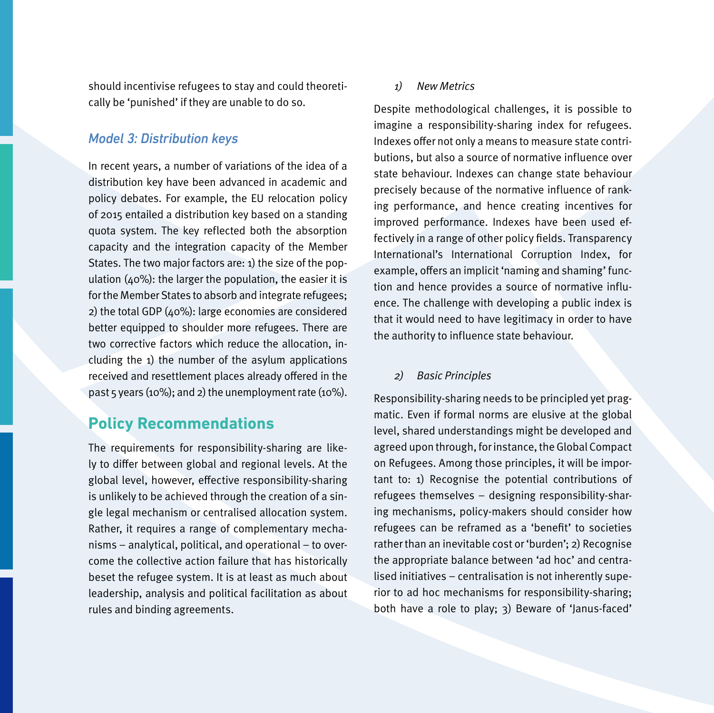should incentivise refugees to stay and could theoretically be 'punished' if they are unable to do so.

#### *Model 3: Distribution keys*

In recent years, a number of variations of the idea of a distribution key have been advanced in academic and policy debates. For example, the EU relocation policy of 2015 entailed a distribution key based on a standing quota system. The key reflected both the absorption capacity and the integration capacity of the Member States. The two major factors are: 1) the size of the population  $(40\%)$ : the larger the population, the easier it is for the Member States to absorb and integrate refugees; 2) the total GDP (40%): large economies are considered better equipped to shoulder more refugees. There are two corrective factors which reduce the allocation, including the 1) the number of the asylum applications received and resettlement places already offered in the past 5 years (10%); and 2) the unemployment rate (10%).

### **Policy Recommendations**

The requirements for responsibility-sharing are likely to differ between global and regional levels. At the global level, however, effective responsibility-sharing is unlikely to be achieved through the creation of a single legal mechanism or centralised allocation system. Rather, it requires a range of complementary mechanisms – analytical, political, and operational – to overcome the collective action failure that has historically beset the refugee system. It is at least as much about leadership, analysis and political facilitation as about rules and binding agreements.

#### 1) New Metrics

Despite methodological challenges, it is possible to imagine a responsibility-sharing index for refugees. Indexes offer not only a means to measure state contributions, but also a source of normative influence over state behaviour. Indexes can change state behaviour precisely because of the normative influence of ranking performance, and hence creating incentives for improved performance. Indexes have been used effectively in a range of other policy fields. Transparency International's International Corruption Index, for example, offers an implicit 'naming and shaming' function and hence provides a source of normative influence. The challenge with developing a public index is that it would need to have legitimacy in order to have the authority to influence state behaviour.

#### 2) Basic Principles

Responsibility-sharing needs to be principled yet pragmatic. Even if formal norms are elusive at the global level, shared understandings might be developed and agreed upon through, for instance, the Global Compact on Refugees. Among those principles, it will be important to: 1) Recognise the potential contributions of refugees themselves – designing responsibility-sharing mechanisms, policy-makers should consider how refugees can be reframed as a 'benefit' to societies rather than an inevitable cost or 'burden'; 2) Recognise the appropriate balance between 'ad hoc' and centralised initiatives – centralisation is not inherently superior to ad hoc mechanisms for responsibility-sharing; both have a role to play; 3) Beware of 'Janus-faced'